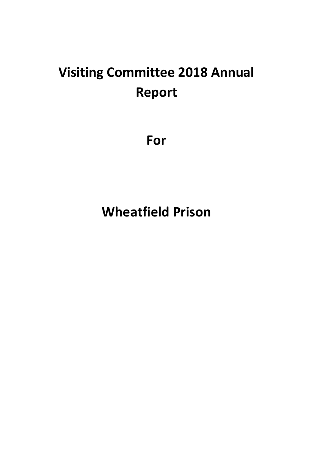# **Visiting Committee 2018 Annual Report**

**For**

**Wheatfield Prison**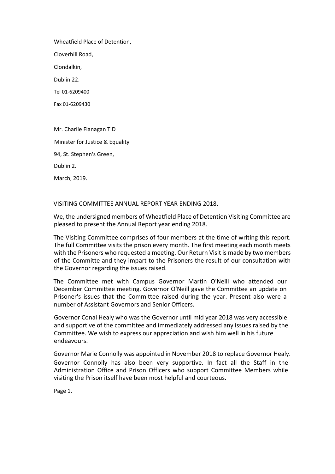Wheatfield Place of Detention,

Cloverhill Road,

Clondalkin,

Dublin 22.

Tel 01-6209400

Fax 01-6209430

Mr. Charlie Flanagan T.D Minister for Justice & Equality 94, St. Stephen's Green, Dublin 2.

March, 2019.

VISITING COMMITTEE ANNUAL REPORT YEAR ENDING 2018.

We, the undersigned members of Wheatfield Place of Detention Visiting Committee are pleased to present the Annual Report year ending 2018.

The Visiting Committee comprises of four members at the time of writing this report. The full Committee visits the prison every month. The first meeting each month meets with the Prisoners who requested a meeting. Our Return Visit is made by two members of the Committe and they impart to the Prisoners the result of our consultation with the Governor regarding the issues raised.

The Committee met with Campus Governor Martin O'Neill who attended our December Committee meeting. Governor O'Neill gave the Committee an update on Prisoner's issues that the Committee raised during the year. Present also were a number of Assistant Governors and Senior Officers.

Governor Conal Healy who was the Governor until mid year 2018 was very accessible and supportive of the committee and immediately addressed any issues raised by the Committee. We wish to express our appreciation and wish him well in his future endeavours.

Governor Marie Connolly was appointed in November 2018 to replace Governor Healy. Governor Connolly has also been very supportive. In fact all the Staff in the Administration Office and Prison Officers who support Committee Members while visiting the Prison itself have been most helpful and courteous.

Page 1.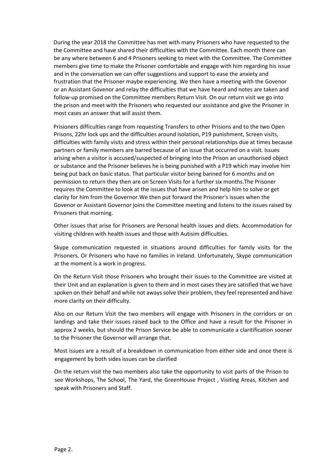During the year 2018 the Committee has met with many Prisoners who have requested to the the Committee and have shared their difficulties with the Committee. Each month there can be any where between 6 and 4 Prisoners seeking to meet with the Committee. The Committee members give time to make the Prisoner comfortable and engage with him regarding his issue and in the conversation we can offer suggestions and support to ease the anxiety and frustration that the Prisoner maybe experiencing. We then have a meeting with the Govenor or an Assistant Govenor and relay the difficulties that we have heard and notes are taken and follow-up promised on the Committee members Return Visit. On our return visit we go into the prison and meet with the Prisoners who requested our assistance and give the Prisoner in most cases an answer that will assist them.

Prisioners difficulties range from requesting Transfers to other Prisions and to the two Open Prisons, 22hr lock ups and the difficulties around isolation, P19 punishment, Screen visits, difficulties with family visits and stress within their personal relationships due at times because partners or family members are barred because of an issue that occurred on a visit. Issues arising when a visitor is accused/suspected of bringing into the Prison an unauthorised object or substance and the Prisoner believes he is being punished with a P19 which may involve him being put back on basic status. That particular visitor being banned for 6 months and on permission to return they then are on Screen Visits for a further six months.The Prisoner requires the Committee to look at the issues that have arisen and help him to solve or get clarity for him from the Governor.We then put forward the Prisoner's issues when the Govenor or Assistant Governor joins the Committee meeting and listens to the issues raised by Prisoners that morning.

Other issues that arise for Prisoners are Personal health issues and diets. Accommodation for visiting children with health issues and those with Autisim difficulties.

Skype communication requested in situations around difficulties for family visits for the Prisoners. Or Prisoners who have no families in Ireland. Unfortunately, Skype communication at the moment is a work in progress.

On the Return Visit those Prisoners who brought their issues to the Committee are visited at their Unit and an explanation is given to them and in most cases they are satisfied that we have spoken on their behalf and while not aways solve their problem, they feel represented and have more clarity on their difficulty.

Also on our Return Visit the two members will engage with Prisoners in the corridors or on landings and take their issues raised back to the Office and have a result for the Prisoner in approx 2 weeks, but should the Prison Service be able to communicate a claritification sooner to the Prisoner the Governor will arrange that.

Most issues are a result of a breakdown in communication from either side and once there is engagement by both sides issues can be clarified

On the return visit the two members also take the opportunity to visit parts of the Prison to see Workshops, The School, The Yard, the GreenHouse Project , Visiting Areas, Kitchen and speak with Prisoners and Staff.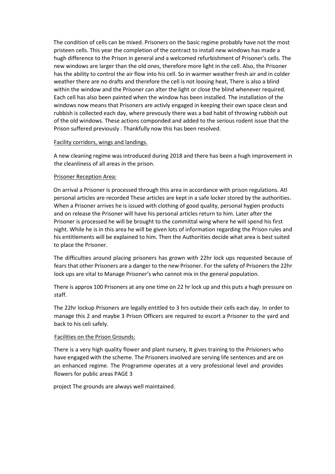The condition of cells can be mixed. Prisoners on the basic regime probably have not the most pristeen cells. This year the completion of the contract to install new windows has made a hugh difference to the Prison in general and a welcomed refurbishment of Prisoner's cells. The new windows are larger than the old ones, therefore more light in the cell. Also, the Prisoner has the ability to control the air flow into his cell. So in warmer weather fresh air and in colder weather there are no drafts and therefore the cell is not loosing heat, There is also a blind within the window and the Prisoner can alter the light or close the blind whenever required. Each cell has also been painted when the window has been installed. The installation of the windows now means that Prisoners are activly engaged in keeping their own space clean and rubbish is collected each day, where prevously there was a bad habit of throwing rubbish out of the old windows. These actions componded and added to the serious rodent issue that the Prison suffered previously . Thankfully now this has been resolved.

## Facility corridors, wings and landings.

A new cleaning regime was introduced during 2018 and there has been a hugh improvement in the cleanliness of all areas in the prison.

## Prisoner Reception Area:

On arrival a Prisoner is processed through this area in accordance with prison regulations. Atl personal articles are recorded These articles are kept in a safe locker stored by the authorities. When a Prisoner arrives he is issued with clothing of good quality, personal hygien products and on release the Prisoner will have his personal articles return to him. Later after the Prisoner is processed he will be brought to the committal wing where he will spend his first night. While he is in this area he will be given lots of information regarding the Prison rules and his entitlements will be explained to him. Then the Authorities decide what area is best suited to place the Prisoner.

The difficulties around placing prisoners has grown with 22hr lock ups requested because of fears that other Prisoners are a danger to the new Prisoner. For the safety of Prisoners the 22hr lock ups are vital to Manage Prisoner's who cannot mix in the general population.

There is approx 100 Prisoners at any one time on 22 hr lock up and this puts a hugh pressure on staff.

The 22hr lockup Prisoners are legally entitled to 3 hrs outside their cells each day. In order to manage this 2 and maybe 3 Prison Officers are required to escort a Prisoner to the yard and back to his celi safely.

#### Facilities on the Prison Grounds:

There is a very high quality flower and plant nursery, It gives training to the Prisioners who have engaged with the scheme. The Prisoners involved are serving life sentences and are on an enhanced regime. The Programme operates at a very professional level and provides flowers for public areas PAGE 3

project The grounds are always well maintained.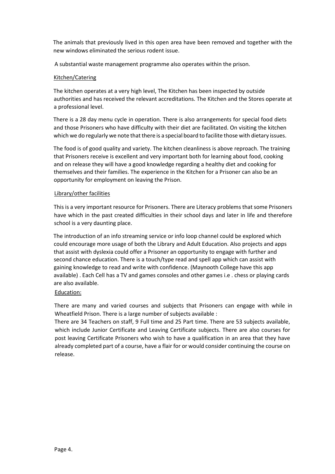The animals that previously lived in this open area have been removed and together with the new windows eliminated the serious rodent issue.

A substantial waste management programme also operates within the prison.

# Kitchen/Catering

The kitchen operates at a very high level, The Kitchen has been inspected by outside authorities and has received the relevant accreditations. The Kitchen and the Stores operate at a professional level.

There is a 28 day menu cycle in operation. There is also arrangements for special food diets and those Prisoners who have difficulty with their diet are facilitated. On visiting the kitchen which we do regularly we note that there is a special board to facilite those with dietary issues.

The food is of good quality and variety. The kitchen cleanliness is above reproach. The training that Prisoners receive is excellent and very important both for learning about food, cooking and on release they will have a good knowledge regarding a healthy diet and cooking for themselves and their families. The experience in the Kitchen for a Prisoner can also be an opportunity for employment on leaving the Prison.

# Library/other facilities

This is a very important resource for Prisoners. There are Literacy problems that some Prisoners have which in the past created difficulties in their school days and later in life and therefore school is a very daunting place.

The introduction of an info streaming service or info loop channel could be explored which could encourage more usage of both the Library and Adult Education. Also projects and apps that assist with dyslexia could offer a Prisoner an opportunity to engage with further and second chance education. There is a touch/type read and spell app which can assist with gaining knowledge to read and write with confidence. (Maynooth College have this app available) . Each Cell has a TV and games consoles and other games i.e . chess or playing cards are also available.

# Education:

There are many and varied courses and subjects that Prisoners can engage with while in Wheatfield Prison. There is a large number of subjects available :

There are 34 Teachers on staff, 9 Full time and 25 Part time. There are 53 subjects available, which include Junior Certificate and Leaving Certificate subjects. There are also courses for post leaving Certificate Prisoners who wish to have a qualification in an area that they have already completed part of a course, have a flair for or would consider continuing the course on release.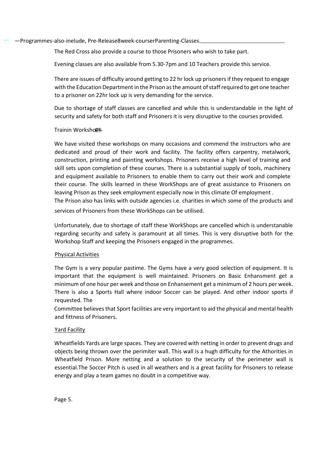—Programmes-also-inelude, Pre-Release8week-courserParenting-Classes.

The Red Cross also provide a course to those Prisoners who wish to take part.

Evening classes are also available from 5.30-7pm and 10 Teachers provide this service.

There are issues of difficulty around getting to 22 hr lock up prisoners if they request to engage with the Education Department in the Prison as the amount of staff required to get one teacher to a prisoner on 22hr lock up is very demanding for the service.

Due to shortage of staff classes are cancelled and while this is understandable in the light of security and safety for both staff and Prisoners it is very disruptive to the courses provided.

## Trainin Workshops.

We have visited these workshops on many occasions and commend the instructors who are dedicated and proud of their work and facility. The facility offers carpentry, metalwork, construction, printing and painting workshops. Prisoners receive a high level of training and skill sets upon completion of these courses. There is a substantial supply of tools, machinery and equipment available to Prisoners to enable them to carry out their work and complete their course. The skills learned in these WorkShops are of great assistance to Prisoners on leaving Prison as they seek employment especially now in this climate Of employment . The Prison also has links with outside agencies i.e. charities in which some of the products and services of Prisoners from these WorkShops can be utilised.

Unfortunately, due to shortage of staff these WorkShops are cancelled which is understanable regarding security and safety is paramount at all times. This is very disruptive both for the Workshop Staff and keeping the Prisoners engaged in the programmes.

# Physical Activities

The Gym is a very popular pastime. The Gyms have a very good selection of equipment. It is important that the equipment is well maintained. Prisoners on Basic Enhansment get a minimum of one hour per week and those on Enhansement get a minimum of 2 hours per week. There is also a Sports Hall where indoor Soccer can be played. And other indoor sports if requested. The

Committee believes that Sport facilities are very important to aid the physical and mental health and fittness of Prisoners.

#### Yard Facility

Wheatfields Yards are large spaces. They are covered with netting in order to prevent drugs and objects being thrown over the perimiter wall. This wall is a hugh difficulty for the Athorities in Wheatfield Prison. More netting and a solution to the security of the perimeter wall is essential.The Soccer Pitch is used in all weathers and is a great facility for Prisoners to release energy and play a team games no doubt in a competitive way.

Page 5.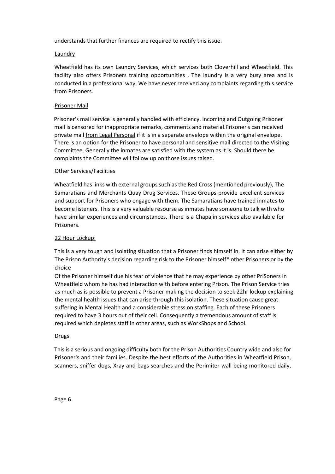understands that further finances are required to rectify this issue.

## **Laundry**

Wheatfield has its own Laundry Services, which services both Cloverhill and Wheatfield. This facility also offers Prisoners training opportunities . The laundry is a very busy area and is conducted in a professional way. We have never received any complaints regarding this service from Prisoners.

## Prisoner Mail

Prisoner's mail service is generally handled with efficiency. incoming and Outgoing Prisoner mail is censored for inappropriate remarks, comments and material.Prisoner<sup>i</sup>s can received private mail *from Legal Personal* if it is in a separate envelope within the original envelope. There is an option for the Prisoner to have personal and sensitive mail directed to the Visiting Committee. Generally the inmates are satisfied with the system as it is. Should there be complaints the Committee will follow up on those issues raised.

## Other Services/Facilities

Wheatfield has links with external groups such as the Red Cross (mentioned previously), The Samaratians and Merchants Quay Drug Services. These Groups provide excellent services and support for Prisoners who engage with them. The Samaratians have trained inmates to become listeners. This is a very valuable resourse as inmates have someone to talk with who have similar experiences and circumstances. There is a Chapalin services also available for Prisoners.

#### 22 Hour Lockup:

This is a very tough and isolating situation that a Prisoner finds himself in. It can arise either by The Prison Authority's decision regarding risk to the Prisoner himself\* other Prisoners or by the choice

Of the Prisoner himself due his fear of violence that he may experience by other PriSoners in Wheatfield whom he has had interaction with before entering Prison. The Prison Service tries as much as is possible to prevent a Prisoner making the decision to seek 22hr lockup explaining the mental health issues that can arise through this isolation. These situation cause great suffering in Mental Health and a considerabie stress on staffing. Each of these Prisoners required to have 3 hours out of their cell. Consequently a tremendous amount of staff is required which depletes staff in other areas, such as WorkShops and School.

#### **Drugs**

This is a serious and ongoing difficulty both for the Prison Authorities Country wide and also for Prisoner's and their families. Despite the best efforts of the Authorities in Wheatfield Prison, scanners, sniffer dogs, Xray and bags searches and the Perimiter wall being monitored daily,

Page 6.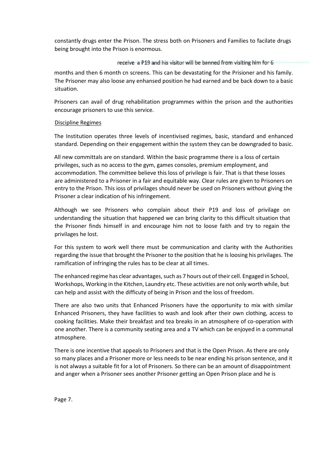constantly drugs enter the Prison. The stress both on Prisoners and Families to facilate drugs being brought into the Prison is enormous.

## receive a P19 and his visitor will be banned from visiting him for 6

months and then 6 month cn screens. This can be devastating for the Prisioner and his family. The Prisoner may also loose any enhansed position he had earned and be back down to a basic situation.

Prisoners can avail of drug rehabilitation programmes within the prison and the authorities encourage prisoners to use this service.

## Discipline Regimes

The Institution operates three levels of incentivised regimes, basic, standard and enhanced standard. Depending on their engagement within the system they can be downgraded to basic.

All new committals are on standard. Within the basic programme there is a loss of certain privileges, such as no access to the gym, games consoles, premium employment, and accommodation. The committee believe this loss of privilege is fair. That is that these losses are administered to a Prisoner in a fair and equitable way. Clear rules are given to Prisoners on entry to the Prison. This ioss of privilages should never be used on Prisoners without giving the Prisoner a clear indication of his infringement.

Although we see Prisoners who complain about their P19 and loss of privilage on understanding the situation that happened we can bring clarity to this difficult situation that the Prisoner finds himself in and encourage him not to loose faith and try to regain the privilages he lost.

For this system to work well there must be communication and clarity with the Authorities regarding the issue that brought the Prisoner to the position that he is loosing his privilages. The ramification of infringing the rules has to be clear at all times.

The enhanced regime has clear advantages, such as 7 hours out of their cell. Engaged in School, Workshops, Working in the Kitchen, Laundry etc. These activities are not only worth while, but can help and assist with the difficuty of being in Prison and the loss of freedom.

There are also two units that Enhanced Prisoners have the opportunity to mix with similar Enhanced Prisoners, they have facilities to wash and look after their own clothing, access to cooking facilities. Make their breakfast and tea breaks in an atmosphere of co-operation with one another. There is a community seating area and a TV which can be enjoyed in a communal atmosphere.

There is one incentive that appeals to Prisoners and that is the Open Prison. As there are only so many places and a Prisoner more or less needs to be near ending his prison sentence, and it is not always a suitable fit for a lot of Prisoners. So there can be an amount of disappointment and anger when a Prisoner sees another Prisoner getting an Open Prison place and he is

Page 7.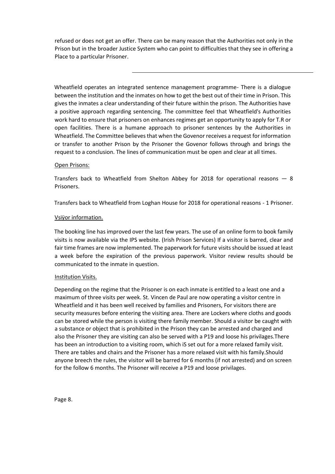refused or does not get an offer. There can be many reason that the Authorities not only in the Prison but in the broader Justice System who can point to difficulties that they see in offering a Place to a particular Prisoner.

Wheatfield operates an integrated sentence management programme- There is a dialogue between the institution and the inmates on how to get the best out of their time in Prison. This gives the inmates a clear understanding of their future within the prison. The Authorities have a positive approach regarding sentencing. The committee feel that Wheatfield's Authorities work hard to ensure that prisoners on enhances regimes get an opportunity to apply for T.R or open facilities. There is a humane approach to prisoner sentences by the Authorities in Wheatfield. The Committee believes that when the Govenor receives a request for information or transfer to another Prison by the Prisoner the Govenor follows through and brings the request to a conclusion. The lines of communication must be open and clear at all times.

#### Open Prisons:

Transfers back to Wheatfield from Shelton Abbey for 2018 for operational reasons — 8 Prisoners.

Transfers back to Wheatfield from Loghan House for 2018 for operational reasons - 1 Prisoner.

#### Vsiÿor information.

The booking line has improved over the last few years. The use of an online form to book family visits is now available via the IPS website. (Irish Prison Services) If a visitor is barred, clear and fair time frames are now implemented. The paperwork for future visits should be issued at least a week before the expiration of the previous paperwork. Visitor review results should be communicated to the inmate in question.

#### Institution Visits.

Depending on the regime that the Prisoner is on each inmate is entitled to a least one and a maximum of three visits per week. St. Vincen de Paul are now operating a visitor centre in Wheatfield and it has been well received by families and Prisoners, For visitors there are security measures before entering the visiting area. There are Lockers where cloths and goods can be stored while the person is visiting there family member. Should a visitor be caught with a substance or object that is prohibited in the Prison they can be arrested and charged and also the Prisoner they are visiting can also be served with a P19 and loose his privilages.There has been an introduction to a visiting room, which iS set out for a more relaxed family visit. There are tables and chairs and the Prisoner has a more relaxed visit with his family.Should anyone breech the rules, the visitor will be barred for 6 months (if not arrested) and on screen for the follow 6 months. The Prisoner will receive a P19 and loose privilages.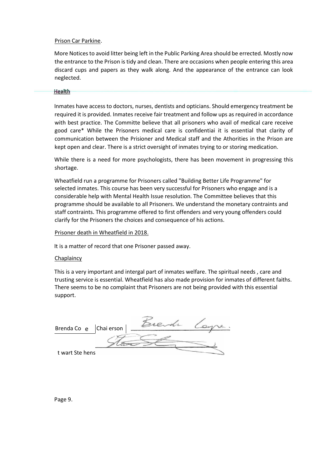#### Prison Car Parkine.

More Notices to avoid litter being left in the Public Parking Area should be errected. Mostly now the entrance to the Prison is tidy and clean. There are occasions when people entering this area discard cups and papers as they walk along. And the appearance of the entrance can look neglected.

#### **Health**

Inmates have access to doctors, nurses, dentists and opticians. Should emergency treatment be required it is provided. Inmates receive fair treatment and follow ups as required in accordance with best practice. The Committe believe that all prisoners who avail of medical care receive good care\* While the Prisoners medical care is confidentiai it is essential that clarity of communication between the Prisioner and Medical staff and the Athorities in the Prison are kept open and clear. There is a strict oversight of inmates trying to or storing medication.

While there is a need for more psychologists, there has been movement in progressing this shortage.

Wheatfield run a programme for Prisoners called "Building Better Life Programme" for selected inmates. This course has been very successful for Prisoners who engage and is a considerable help with Mental Health Issue resolution. The Committee believes that this programme should be available to all Prisoners. We understand the monetary contraints and staff contraints. This programme offered to first offenders and very young offenders could clarify for the Prisoners the choices and consequence of his actions.

#### Prisoner death in Wheatfield in 2018.

It is a matter of record that one Prisoner passed away.

#### **Chaplaincy**

This is a very important and intergal part of inmates welfare. The spiritual needs , care and trusting service is essential. Wheatfield has also made provision for inmates of different faiths. There seems to be no complaint that Prisoners are not being provided with this essential support.

Brenda Co e Chaierson Brendr Loyre. t wart Ste hens

Page 9.